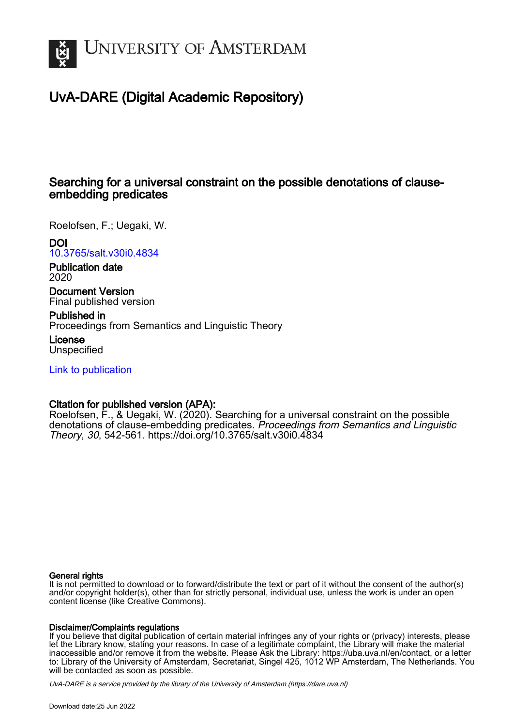

## UvA-DARE (Digital Academic Repository)

## Searching for a universal constraint on the possible denotations of clauseembedding predicates

Roelofsen, F.; Uegaki, W.

DOI

[10.3765/salt.v30i0.4834](https://doi.org/10.3765/salt.v30i0.4834)

Publication date 2020

Document Version Final published version

Published in Proceedings from Semantics and Linguistic Theory

License **Unspecified** 

[Link to publication](https://dare.uva.nl/personal/pure/en/publications/searching-for-a-universal-constraint-on-the-possible-denotations-of-clauseembedding-predicates(2adee593-da7c-459e-ba88-7f4060db7ea7).html)

### Citation for published version (APA):

Roelofsen, F., & Uegaki, W. (2020). Searching for a universal constraint on the possible denotations of clause-embedding predicates. Proceedings from Semantics and Linguistic Theory, 30, 542-561. <https://doi.org/10.3765/salt.v30i0.4834>

### General rights

It is not permitted to download or to forward/distribute the text or part of it without the consent of the author(s) and/or copyright holder(s), other than for strictly personal, individual use, unless the work is under an open content license (like Creative Commons).

### Disclaimer/Complaints regulations

If you believe that digital publication of certain material infringes any of your rights or (privacy) interests, please let the Library know, stating your reasons. In case of a legitimate complaint, the Library will make the material inaccessible and/or remove it from the website. Please Ask the Library: https://uba.uva.nl/en/contact, or a letter to: Library of the University of Amsterdam, Secretariat, Singel 425, 1012 WP Amsterdam, The Netherlands. You will be contacted as soon as possible.

UvA-DARE is a service provided by the library of the University of Amsterdam (http*s*://dare.uva.nl)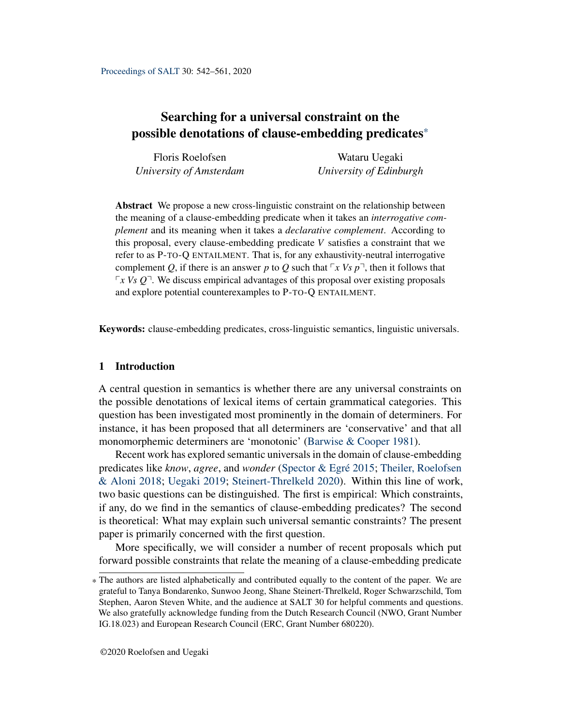## Searching for a universal constraint on the possible denotations of clause-embedding predicates\*

| Floris Roelofsen        | Wataru Uegaki           |  |  |  |
|-------------------------|-------------------------|--|--|--|
| University of Amsterdam | University of Edinburgh |  |  |  |

Abstract We propose a new cross-linguistic constraint on the relationship between the meaning of a clause-embedding predicate when it takes an *interrogative complement* and its meaning when it takes a *declarative complement*. According to this proposal, every clause-embedding predicate *V* satisfies a constraint that we refer to as P-TO-Q ENTAILMENT. That is, for any exhaustivity-neutral interrogative complement *Q*, if there is an answer *p* to *Q* such that  $\lceil x \lor s \rceil$ , then it follows that  $\sqrt{r}$  *x Vs Q*<sup> $\degree$ </sup>. We discuss empirical advantages of this proposal over existing proposals and explore potential counterexamples to P-TO-Q ENTAILMENT.

Keywords: clause-embedding predicates, cross-linguistic semantics, linguistic universals.

### 1 Introduction

A central question in semantics is whether there are any universal constraints on the possible denotations of lexical items of certain grammatical categories. This question has been investigated most prominently in the domain of determiners. For instance, it has been proposed that all determiners are 'conservative' and that all monomorphemic determiners are 'monotonic' [\(Barwise & Cooper](#page-18-0) [1981\)](#page-18-0).

Recent work has explored semantic universals in the domain of clause-embedding predicates like *know*, *agree*, and *wonder* [\(Spector & Egré](#page-19-0) [2015;](#page-19-0) [Theiler, Roelofsen](#page-20-0) [& Aloni](#page-20-0) [2018;](#page-20-0) [Uegaki](#page-20-1) [2019;](#page-20-1) [Steinert-Threlkeld](#page-19-1) [2020\)](#page-19-1). Within this line of work, two basic questions can be distinguished. The first is empirical: Which constraints, if any, do we find in the semantics of clause-embedding predicates? The second is theoretical: What may explain such universal semantic constraints? The present paper is primarily concerned with the first question.

More specifically, we will consider a number of recent proposals which put forward possible constraints that relate the meaning of a clause-embedding predicate

<sup>\*</sup> The authors are listed alphabetically and contributed equally to the content of the paper. We are grateful to Tanya Bondarenko, Sunwoo Jeong, Shane Steinert-Threlkeld, Roger Schwarzschild, Tom Stephen, Aaron Steven White, and the audience at SALT 30 for helpful comments and questions. We also gratefully acknowledge funding from the Dutch Research Council (NWO, Grant Number IG.18.023) and European Research Council (ERC, Grant Number 680220).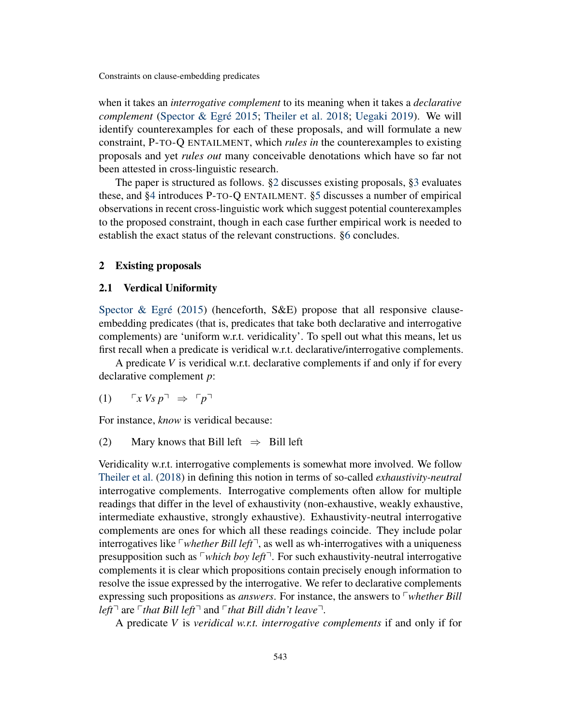when it takes an *interrogative complement* to its meaning when it takes a *declarative complement* [\(Spector & Egré](#page-19-0) [2015;](#page-19-0) [Theiler et al.](#page-20-0) [2018;](#page-20-0) [Uegaki](#page-20-1) [2019\)](#page-20-1). We will identify counterexamples for each of these proposals, and will formulate a new constraint, P-TO-Q ENTAILMENT, which *rules in* the counterexamples to existing proposals and yet *rules out* many conceivable denotations which have so far not been attested in cross-linguistic research.

The paper is structured as follows. [§2](#page-2-0) discusses existing proposals, [§3](#page-4-0) evaluates these, and [§4](#page-7-0) introduces P-TO-Q ENTAILMENT. [§5](#page-15-0) discusses a number of empirical observations in recent cross-linguistic work which suggest potential counterexamples to the proposed constraint, though in each case further empirical work is needed to establish the exact status of the relevant constructions. [§6](#page-18-1) concludes.

### <span id="page-2-0"></span>2 Existing proposals

### 2.1 Verdical Uniformity

[Spector & Egré](#page-19-0) [\(2015\)](#page-19-0) (henceforth, S&E) propose that all responsive clauseembedding predicates (that is, predicates that take both declarative and interrogative complements) are 'uniform w.r.t. veridicality'. To spell out what this means, let us first recall when a predicate is veridical w.r.t. declarative/interrogative complements.

A predicate *V* is veridical w.r.t. declarative complements if and only if for every declarative complement *p*:

$$
(1) \qquad \ulcorner x \, Vs \, p \urcorner \;\Rightarrow\; \ulcorner p \urcorner
$$

For instance, *know* is veridical because:

### (2) Mary knows that Bill left  $\Rightarrow$  Bill left

Veridicality w.r.t. interrogative complements is somewhat more involved. We follow [Theiler et al.](#page-20-0) [\(2018\)](#page-20-0) in defining this notion in terms of so-called *exhaustivity-neutral* interrogative complements. Interrogative complements often allow for multiple readings that differ in the level of exhaustivity (non-exhaustive, weakly exhaustive, intermediate exhaustive, strongly exhaustive). Exhaustivity-neutral interrogative complements are ones for which all these readings coincide. They include polar interrogatives like  $\lceil$ *whether Bill left* $\lceil$ , as well as wh-interrogatives with a uniqueness presupposition such as  $\lceil$ *which boy left* $\lceil$ . For such exhaustivity-neutral interrogative complements it is clear which propositions contain precisely enough information to resolve the issue expressed by the interrogative. We refer to declarative complements expressing such propositions as *answers*. For instance, the answers to *whether Bill left*<sup> $\lceil$ </sup> are  $\lceil$ *that Bill left* $\lceil$  and  $\lceil$ *that Bill didn't leave* $\lceil$ *.* 

A predicate *V* is *veridical w.r.t. interrogative complements* if and only if for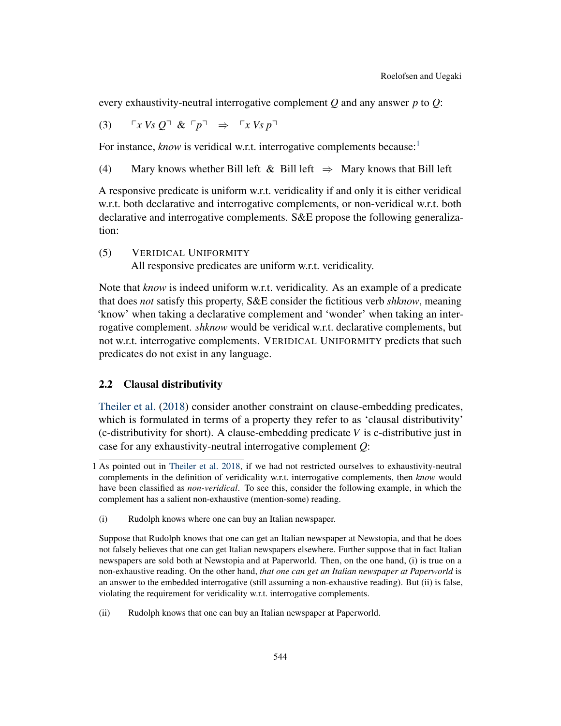every exhaustivity-neutral interrogative complement *Q* and any answer *p* to *Q*:

$$
(3) \qquad \ulcorner x \; Vs \; Q \urcorner \; \& \; \ulcorner p \urcorner \;\; \Rightarrow \;\; \ulcorner x \; Vs \; p \urcorner
$$

For instance, *know* is veridical w.r.t. interrogative complements because:<sup>[1](#page-3-0)</sup>

(4) Mary knows whether Bill left & Bill left  $\Rightarrow$  Mary knows that Bill left

A responsive predicate is uniform w.r.t. veridicality if and only it is either veridical w.r.t. both declarative and interrogative complements, or non-veridical w.r.t. both declarative and interrogative complements. S&E propose the following generalization:

(5) VERIDICAL UNIFORMITY

All responsive predicates are uniform w.r.t. veridicality.

Note that *know* is indeed uniform w.r.t. veridicality. As an example of a predicate that does *not* satisfy this property, S&E consider the fictitious verb *shknow*, meaning 'know' when taking a declarative complement and 'wonder' when taking an interrogative complement. *shknow* would be veridical w.r.t. declarative complements, but not w.r.t. interrogative complements. VERIDICAL UNIFORMITY predicts that such predicates do not exist in any language.

### <span id="page-3-1"></span>2.2 Clausal distributivity

[Theiler et al.](#page-20-0) [\(2018\)](#page-20-0) consider another constraint on clause-embedding predicates, which is formulated in terms of a property they refer to as 'clausal distributivity' (c-distributivity for short). A clause-embedding predicate *V* is c-distributive just in case for any exhaustivity-neutral interrogative complement *Q*:

<span id="page-3-0"></span><sup>1</sup> As pointed out in [Theiler et al.](#page-20-0) [2018,](#page-20-0) if we had not restricted ourselves to exhaustivity-neutral complements in the definition of veridicality w.r.t. interrogative complements, then *know* would have been classified as *non-veridical*. To see this, consider the following example, in which the complement has a salient non-exhaustive (mention-some) reading.

<sup>(</sup>i) Rudolph knows where one can buy an Italian newspaper.

Suppose that Rudolph knows that one can get an Italian newspaper at Newstopia, and that he does not falsely believes that one can get Italian newspapers elsewhere. Further suppose that in fact Italian newspapers are sold both at Newstopia and at Paperworld. Then, on the one hand, (i) is true on a non-exhaustive reading. On the other hand, *that one can get an Italian newspaper at Paperworld* is an answer to the embedded interrogative (still assuming a non-exhaustive reading). But (ii) is false, violating the requirement for veridicality w.r.t. interrogative complements.

<sup>(</sup>ii) Rudolph knows that one can buy an Italian newspaper at Paperworld.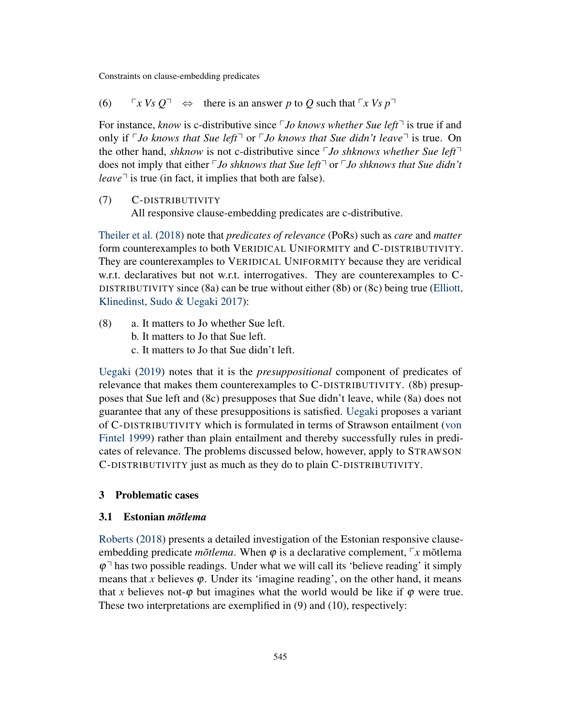(6)  $\Gamma_X V_S Q^{\top} \Leftrightarrow$  there is an answer *p* to *Q* such that  $\Gamma_X V_S p^{\top}$ 

For instance, *know* is c-distributive since *Do knows whether Sue left*<sup> $\lceil$ </sup> is true if and only if  $\ulcorner$  *Jo knows that Sue left* $\urcorner$  or  $\ulcorner$  *Jo knows that Sue didn't leave* $\urcorner$  is true. On the other hand, *shknow* is not c-distributive since  $\nabla J$ o *shknows whether Sue left* $\nabla$ does not imply that either *<sup>p</sup>Jo shknows that Sue left<sup>-</sup>* or *pJo shknows that Sue didn't leave* $\lceil$  is true (in fact, it implies that both are false).

(7) C-DISTRIBUTIVITY

All responsive clause-embedding predicates are c-distributive.

[Theiler et al.](#page-20-0) [\(2018\)](#page-20-0) note that *predicates of relevance* (PoRs) such as *care* and *matter* form counterexamples to both VERIDICAL UNIFORMITY and C-DISTRIBUTIVITY. They are counterexamples to VERIDICAL UNIFORMITY because they are veridical w.r.t. declaratives but not w.r.t. interrogatives. They are counterexamples to C-DISTRIBUTIVITY since (8a) can be true without either (8b) or (8c) being true [\(Elliott,](#page-19-2) [Klinedinst, Sudo & Uegaki](#page-19-2) [2017\)](#page-19-2):

- (8) a. It matters to Jo whether Sue left.
	- b. It matters to Jo that Sue left.
	- c. It matters to Jo that Sue didn't left.

[Uegaki](#page-20-1) [\(2019\)](#page-20-1) notes that it is the *presuppositional* component of predicates of relevance that makes them counterexamples to C-DISTRIBUTIVITY. (8b) presupposes that Sue left and (8c) presupposes that Sue didn't leave, while (8a) does not guarantee that any of these presuppositions is satisfied. [Uegaki](#page-20-1) proposes a variant of C-DISTRIBUTIVITY which is formulated in terms of Strawson entailment [\(von](#page-19-3) [Fintel](#page-19-3) [1999\)](#page-19-3) rather than plain entailment and thereby successfully rules in predicates of relevance. The problems discussed below, however, apply to STRAWSON C-DISTRIBUTIVITY just as much as they do to plain C-DISTRIBUTIVITY.

### <span id="page-4-0"></span>3 Problematic cases

### 3.1 Estonian *mõtlema*

[Roberts](#page-19-4) [\(2018\)](#page-19-4) presents a detailed investigation of the Estonian responsive clauseembedding predicate *mõtlema*. When  $\varphi$  is a declarative complement,  $\varphi$ *x* mõtlema  $\varphi$ <sup> $\exists$ </sup> has two possible readings. Under what we will call its 'believe reading' it simply means that *x* believes  $\varphi$ . Under its 'imagine reading', on the other hand, it means that x believes not- $\varphi$  but imagines what the world would be like if  $\varphi$  were true. These two interpretations are exemplified in (9) and (10), respectively: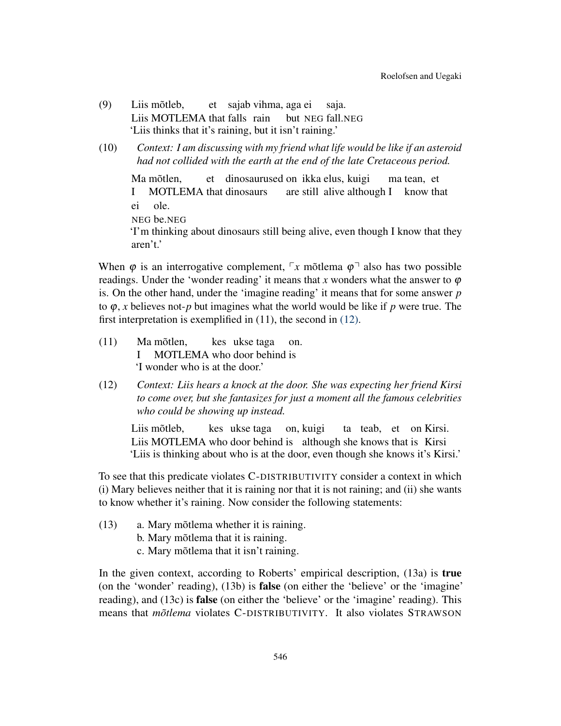- (9) Liis mõtleb, Liis MOTLEMA that falls rain et sajab vihma, aga ei but NEG fall.NEG saja. 'Liis thinks that it's raining, but it isn't raining.'
- (10) *Context: I am discussing with my friend what life would be like if an asteroid had not collided with the earth at the end of the late Cretaceous period.*

Ma mõtlen, I MOTLEMA that dinosaurs et dinosaurused on ikka elus, kuigi are still alive although I know that ma tean, et ei NEG be.NEG ole. 'I'm thinking about dinosaurs still being alive, even though I know that they aren't.'

When  $\varphi$  is an interrogative complement,  $\varphi x$  mõtlema  $\varphi$ <sup> $\neg$ </sup> also has two possible readings. Under the 'wonder reading' it means that x wonders what the answer to  $\varphi$ is. On the other hand, under the 'imagine reading' it means that for some answer *p* to ϕ, *x* believes not-*p* but imagines what the world would be like if *p* were true. The first interpretation is exemplified in (11), the second in [\(12\).](#page-5-0)

- $(11)$ I Ma mõtlen. MOTLEMA who door behind is kes ukse taga on. 'I wonder who is at the door.'
- <span id="page-5-0"></span>(12) *Context: Liis hears a knock at the door. She was expecting her friend Kirsi to come over, but she fantasizes for just a moment all the famous celebrities who could be showing up instead.*

Liis mõtleb, Liis MOTLEMA who door behind is although she knows that is Kirsi kes ukse taga on, kuigi ta teab, et on Kirsi. 'Liis is thinking about who is at the door, even though she knows it's Kirsi.'

To see that this predicate violates C-DISTRIBUTIVITY consider a context in which (i) Mary believes neither that it is raining nor that it is not raining; and (ii) she wants to know whether it's raining. Now consider the following statements:

- (13) a. Mary mõtlema whether it is raining.
	- b. Mary mõtlema that it is raining.
	- c. Mary mõtlema that it isn't raining.

In the given context, according to Roberts' empirical description, (13a) is true (on the 'wonder' reading), (13b) is false (on either the 'believe' or the 'imagine' reading), and (13c) is false (on either the 'believe' or the 'imagine' reading). This means that *mõtlema* violates C-DISTRIBUTIVITY. It also violates STRAWSON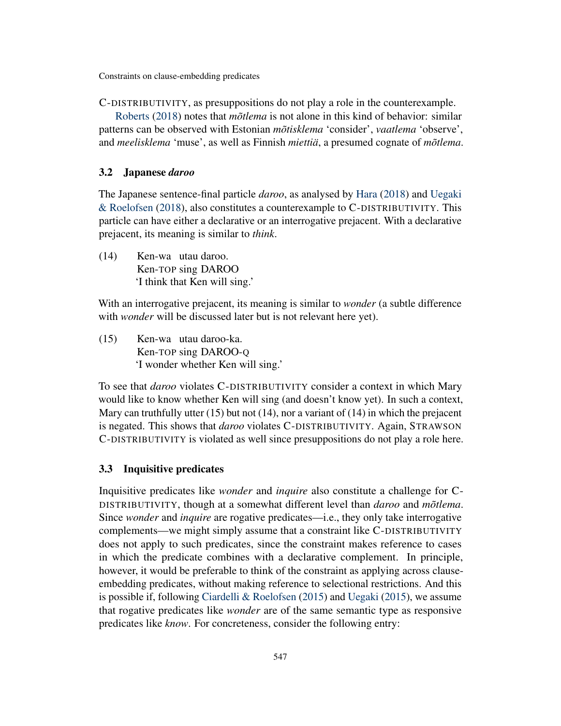C-DISTRIBUTIVITY, as presuppositions do not play a role in the counterexample.

[Roberts](#page-19-4) [\(2018\)](#page-19-4) notes that *mõtlema* is not alone in this kind of behavior: similar patterns can be observed with Estonian *mõtisklema* 'consider', *vaatlema* 'observe', and *meelisklema* 'muse', as well as Finnish *miettiä*, a presumed cognate of *mõtlema*.

### 3.2 Japanese *daroo*

The Japanese sentence-final particle *daroo*, as analysed by [Hara](#page-19-5) [\(2018\)](#page-19-5) and [Uegaki](#page-20-2) [& Roelofsen](#page-20-2) [\(2018\)](#page-20-2), also constitutes a counterexample to C-DISTRIBUTIVITY. This particle can have either a declarative or an interrogative prejacent. With a declarative prejacent, its meaning is similar to *think*.

(14) Ken-wa utau daroo. Ken-TOP sing DAROO 'I think that Ken will sing.'

With an interrogative prejacent, its meaning is similar to *wonder* (a subtle difference with *wonder* will be discussed later but is not relevant here yet).

(15) Ken-wa utau daroo-ka. Ken-TOP sing DAROO-Q 'I wonder whether Ken will sing.'

To see that *daroo* violates C-DISTRIBUTIVITY consider a context in which Mary would like to know whether Ken will sing (and doesn't know yet). In such a context, Mary can truthfully utter  $(15)$  but not  $(14)$ , nor a variant of  $(14)$  in which the prejacent is negated. This shows that *daroo* violates C-DISTRIBUTIVITY. Again, STRAWSON C-DISTRIBUTIVITY is violated as well since presuppositions do not play a role here.

### <span id="page-6-1"></span>3.3 Inquisitive predicates

<span id="page-6-0"></span>Inquisitive predicates like *wonder* and *inquire* also constitute a challenge for C-DISTRIBUTIVITY, though at a somewhat different level than *daroo* and *mõtlema*. Since *wonder* and *inquire* are rogative predicates—i.e., they only take interrogative complements—we might simply assume that a constraint like C-DISTRIBUTIVITY does not apply to such predicates, since the constraint makes reference to cases in which the predicate combines with a declarative complement. In principle, however, it would be preferable to think of the constraint as applying across clauseembedding predicates, without making reference to selectional restrictions. And this is possible if, following [Ciardelli & Roelofsen](#page-19-6) [\(2015\)](#page-19-6) and [Uegaki](#page-20-3) [\(2015\)](#page-20-3), we assume that rogative predicates like *wonder* are of the same semantic type as responsive predicates like *know*. For concreteness, consider the following entry: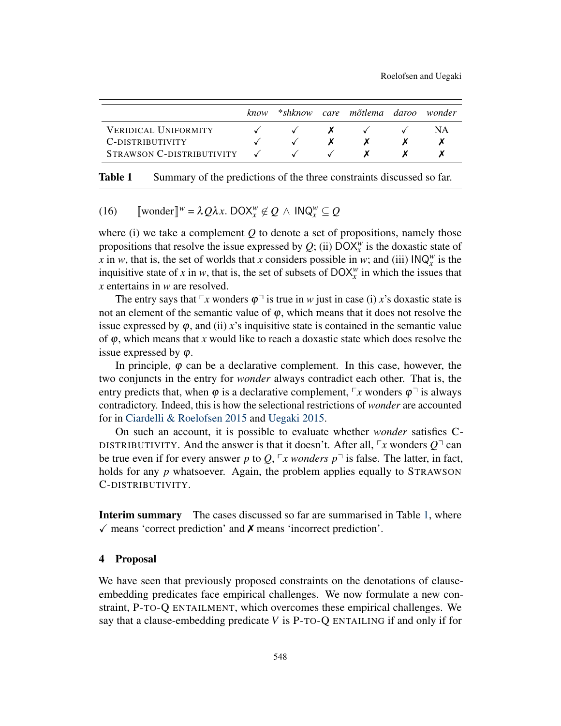|                             | know | $*$ shknow | care mõtlema daroo | wonder |
|-----------------------------|------|------------|--------------------|--------|
| <b>VERIDICAL UNIFORMITY</b> |      |            |                    | ΝA     |
| C-DISTRIBUTIVITY            |      |            |                    |        |
| STRAWSON C-DISTRIBUTIVITY   |      |            |                    |        |

<span id="page-7-1"></span>Table 1 Summary of the predictions of the three constraints discussed so far.

# (16)  $\left[\text{wonder}\right]^w = \lambda Q\lambda x$ . DOX $^w_x \notin Q \wedge \text{INQ}_x^w \subseteq Q$

where (i) we take a complement *Q* to denote a set of propositions, namely those propositions that resolve the issue expressed by  $Q$ ; (ii)  $\text{DOX}_x^w$  is the doxastic state of *x* in *w*, that is, the set of worlds that *x* considers possible in *w*; and (iii)  $INQ_x^w$  is the inquisitive state of *x* in *w*, that is, the set of subsets of  $\text{DOX}_{x}^{w}$  in which the issues that *x* entertains in *w* are resolved.

The entry says that  $\lceil x \rceil$  wonders  $\varphi \rceil$  is true in *w* just in case (i) *x*'s doxastic state is not an element of the semantic value of  $\varphi$ , which means that it does not resolve the issue expressed by  $\varphi$ , and (ii) *x*'s inquisitive state is contained in the semantic value of ϕ, which means that *x* would like to reach a doxastic state which does resolve the issue expressed by  $\varphi$ .

In principle,  $\varphi$  can be a declarative complement. In this case, however, the two conjuncts in the entry for *wonder* always contradict each other. That is, the entry predicts that, when  $\varphi$  is a declarative complement,  $\lceil x \rceil$ *x* wonders  $\varphi \rceil$  is always contradictory. Indeed, this is how the selectional restrictions of *wonder* are accounted for in [Ciardelli & Roelofsen](#page-19-6) [2015](#page-19-6) and [Uegaki](#page-20-3) [2015.](#page-20-3)

On such an account, it is possible to evaluate whether *wonder* satisfies C-DISTRIBUTIVITY. And the answer is that it doesn't. After all,  $\lceil x \rceil$ *x* wonders  $Q^{\dagger}$  can be true even if for every answer p to Q,  $\sqrt{r}$  *x wonders*  $p^{\pi}$  is false. The latter, in fact, holds for any *p* whatsoever. Again, the problem applies equally to STRAWSON C-DISTRIBUTIVITY.

Interim summary The cases discussed so far are summarised in Table [1,](#page-7-1) where  $\checkmark$  means 'correct prediction' and  $\chi$  means 'incorrect prediction'.

### <span id="page-7-0"></span>4 Proposal

We have seen that previously proposed constraints on the denotations of clauseembedding predicates face empirical challenges. We now formulate a new constraint, P-TO-Q ENTAILMENT, which overcomes these empirical challenges. We say that a clause-embedding predicate *V* is P-TO-Q ENTAILING if and only if for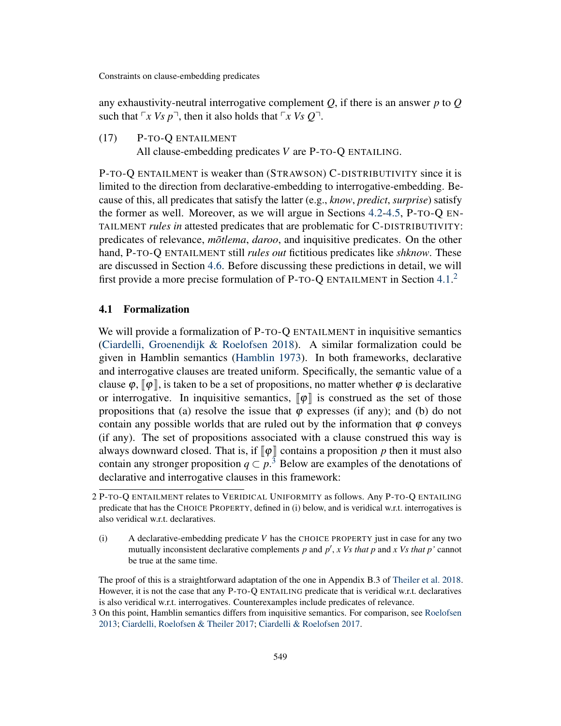any exhaustivity-neutral interrogative complement *Q*, if there is an answer *p* to *Q* such that  $\lceil x \, Vs \, p \rceil$ , then it also holds that  $\lceil x \, Vs \, Q \rceil$ .

(17) P-TO-Q ENTAILMENT All clause-embedding predicates *V* are P-TO-Q ENTAILING.

P-TO-Q ENTAILMENT is weaker than (STRAWSON) C-DISTRIBUTIVITY since it is limited to the direction from declarative-embedding to interrogative-embedding. Because of this, all predicates that satisfy the latter (e.g., *know*, *predict*, *surprise*) satisfy the former as well. Moreover, as we will argue in Sections [4.2-](#page-9-0)[4.5,](#page-13-0) P-TO-Q EN-TAILMENT *rules in* attested predicates that are problematic for C-DISTRIBUTIVITY: predicates of relevance, *mõtlema*, *daroo*, and inquisitive predicates. On the other hand, P-TO-Q ENTAILMENT still *rules out* fictitious predicates like *shknow*. These are discussed in Section [4.6.](#page-13-1) Before discussing these predictions in detail, we will first provide a more precise formulation of P-TO-Q ENTAILMENT in Section [4.1.](#page-8-0)<sup>[2](#page-8-1)</sup>

### <span id="page-8-0"></span>4.1 Formalization

We will provide a formalization of P-TO-Q ENTAILMENT in inquisitive semantics [\(Ciardelli, Groenendijk & Roelofsen](#page-19-7) [2018\)](#page-19-7). A similar formalization could be given in Hamblin semantics [\(Hamblin](#page-19-8) [1973\)](#page-19-8). In both frameworks, declarative and interrogative clauses are treated uniform. Specifically, the semantic value of a clause  $\varphi$ ,  $\lbrack \varphi \rbrack$ , is taken to be a set of propositions, no matter whether  $\varphi$  is declarative or interrogative. In inquisitive semantics,  $\llbracket \phi \rrbracket$  is construed as the set of those propositions that (a) resolve the issue that  $\varphi$  expresses (if any); and (b) do not contain any possible worlds that are ruled out by the information that  $\varphi$  conveys (if any). The set of propositions associated with a clause construed this way is always downward closed. That is, if  $\llbracket \phi \rrbracket$  contains a proposition p then it must also contain any stronger proposition  $q \subset p$ .<sup>[3](#page-8-2)</sup> Below are examples of the denotations of declarative and interrogative clauses in this framework:

The proof of this is a straightforward adaptation of the one in Appendix B.3 of [Theiler et al.](#page-20-0) [2018.](#page-20-0) However, it is not the case that any P-TO-Q ENTAILING predicate that is veridical w.r.t. declaratives is also veridical w.r.t. interrogatives. Counterexamples include predicates of relevance.

<span id="page-8-1"></span><sup>2</sup> P-TO-Q ENTAILMENT relates to VERIDICAL UNIFORMITY as follows. Any P-TO-Q ENTAILING predicate that has the CHOICE PROPERTY, defined in (i) below, and is veridical w.r.t. interrogatives is also veridical w.r.t. declaratives.

<sup>(</sup>i) A declarative-embedding predicate *V* has the CHOICE PROPERTY just in case for any two mutually inconsistent declarative complements  $p$  and  $p'$ ,  $x$  Vs that  $p$  and  $x$  Vs that  $p'$  cannot be true at the same time.

<span id="page-8-2"></span><sup>3</sup> On this point, Hamblin semantics differs from inquisitive semantics. For comparison, see [Roelofsen](#page-19-9) [2013;](#page-19-9) [Ciardelli, Roelofsen & Theiler](#page-19-10) [2017;](#page-19-10) [Ciardelli & Roelofsen](#page-19-11) [2017.](#page-19-11)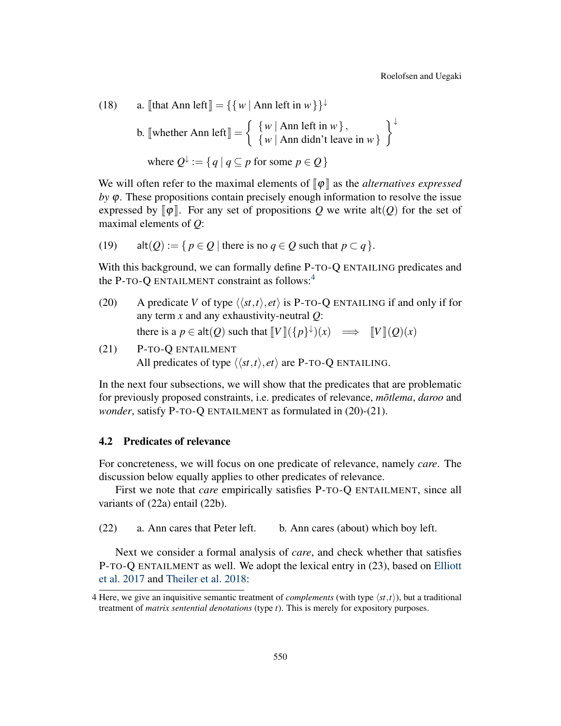(18) a.  $\llbracket$ that Ann left $\llbracket = {\wedge w \mid \text{Ann left in } w}$ 

b. [whether Ann left] = 
$$
\begin{cases} \{w \mid \text{Ann left in } w\}, \\ \{w \mid \text{Ann didn't leave in } w\} \end{cases}
$$
  
where  $Q^{\downarrow} := \{q \mid q \subseteq p \text{ for some } p \in Q\}$ 

We will often refer to the maximal elements of  $\llbracket \phi \rrbracket$  as the *alternatives expressed*  $by \varphi$ . These propositions contain precisely enough information to resolve the issue expressed by  $\llbracket \phi \rrbracket$ . For any set of propositions Q we write alt(Q) for the set of maximal elements of *Q*:

(19) 
$$
alt(Q) := \{ p \in Q \mid \text{there is no } q \in Q \text{ such that } p \subset q \}.
$$

With this background, we can formally define P-TO-Q ENTAILING predicates and the P-TO-O ENTAILMENT constraint as follows: $4$ 

- (20) A predicate *V* of type  $\langle \langle st, t \rangle, et \rangle$  is P-TO-Q ENTAILING if and only if for any term *x* and any exhaustivity-neutral *Q*: there is a  $p \in \text{alt}(Q)$  such that  $\llbracket V \rrbracket(\{p\}^{\downarrow})(x) \implies \llbracket V \rrbracket(Q)(x)$
- <span id="page-9-2"></span>(21) P-TO-Q ENTAILMENT All predicates of type  $\langle \langle st, t \rangle, et \rangle$  are P-TO-Q ENTAILING.

In the next four subsections, we will show that the predicates that are problematic for previously proposed constraints, i.e. predicates of relevance, *mõtlema*, *daroo* and *wonder*, satisfy P-TO-Q ENTAILMENT as formulated in (20)-(21).

### <span id="page-9-0"></span>4.2 Predicates of relevance

For concreteness, we will focus on one predicate of relevance, namely *care*. The discussion below equally applies to other predicates of relevance.

First we note that *care* empirically satisfies P-TO-Q ENTAILMENT, since all variants of (22a) entail (22b).

(22) a. Ann cares that Peter left. b. Ann cares (about) which boy left.

Next we consider a formal analysis of *care*, and check whether that satisfies P-TO-Q ENTAILMENT as well. We adopt the lexical entry in (23), based on [Elliott](#page-19-2) [et al.](#page-19-2) [2017](#page-19-2) and [Theiler et al.](#page-20-0) [2018:](#page-20-0)

<span id="page-9-1"></span><sup>4</sup> Here, we give an inquisitive semantic treatment of *complements* (with type  $\langle st, t \rangle$ ), but a traditional treatment of *matrix sentential denotations* (type *t*). This is merely for expository purposes.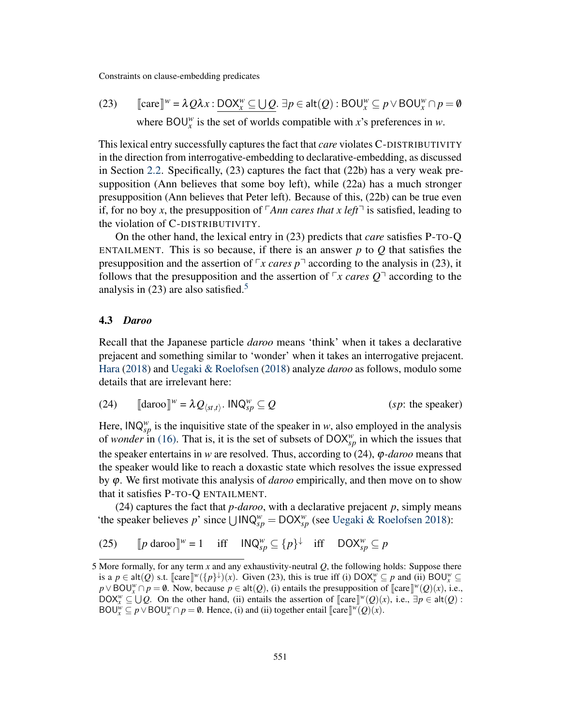(23) 
$$
\llbracket \text{care} \rrbracket^w = \lambda Q \lambda x : \underbrace{DOX_x^w \subseteq \bigcup Q}_{x} \exists p \in \text{alt}(Q) : BOU_x^w \subseteq p \lor BOU_x^w \cap p = \emptyset
$$
  
where  $BOU_x^w$  is the set of worlds compatible with x's preferences in w.

This lexical entry successfully captures the fact that *care* violates C-DISTRIBUTIVITY in the direction from interrogative-embedding to declarative-embedding, as discussed in Section [2.2.](#page-3-1) Specifically, (23) captures the fact that (22b) has a very weak presupposition (Ann believes that some boy left), while (22a) has a much stronger presupposition (Ann believes that Peter left). Because of this, (22b) can be true even if, for no boy x, the presupposition of  $\sqrt{A}$ *nn cares that x left* $\sqrt{ }$  is satisfied, leading to the violation of C-DISTRIBUTIVITY.

On the other hand, the lexical entry in (23) predicts that *care* satisfies P-TO-Q ENTAILMENT. This is so because, if there is an answer  $p$  to  $Q$  that satisfies the presupposition and the assertion of  $\sqrt{r}$  *x cares p*<sup> $\sqrt{ }$ </sup> according to the analysis in (23), it follows that the presupposition and the assertion of  $\sqrt{r}$  *x cares Q*<sup> $\sqrt{q}$ </sup> according to the analysis in  $(23)$  are also satisfied.<sup>[5](#page-10-0)</sup>

#### 4.3 *Daroo*

Recall that the Japanese particle *daroo* means 'think' when it takes a declarative prejacent and something similar to 'wonder' when it takes an interrogative prejacent. [Hara](#page-19-5) [\(2018\)](#page-19-5) and [Uegaki & Roelofsen](#page-20-2) [\(2018\)](#page-20-2) analyze *daroo* as follows, modulo some details that are irrelevant here:

<span id="page-10-1"></span>(24) 
$$
\llbracket \text{daroo} \rrbracket^{w} = \lambda Q_{\langle st, t \rangle}. \text{ INQ}_{sp}^{w} \subseteq Q \qquad (sp: \text{ the speaker})
$$

Here,  $\mathsf{INQ}_{\mathsf{sp}}^w$  is the inquisitive state of the speaker in *w*, also employed in the analysis of *wonder* in [\(16\).](#page-6-0) That is, it is the set of subsets of  $\text{DOX}_{\text{sp}}^w$  in which the issues that the speaker entertains in *w* are resolved. Thus, according to  $(24)$ ,  $\varphi$ *-daroo* means that the speaker would like to reach a doxastic state which resolves the issue expressed by ϕ. We first motivate this analysis of *daroo* empirically, and then move on to show that it satisfies P-TO-Q ENTAILMENT.

(24) captures the fact that  $p$ -daroo, with a declarative prejacent  $p$ , simply means 'the speaker believes p' since  $\bigcup \text{INQ}_{sp}^w = \text{DOX}_{sp}^w$  (see [Uegaki & Roelofsen](#page-20-2) [2018\)](#page-20-2):

(25) 
$$
[p \text{ daroo}]^{w} = 1 \quad \text{iff} \quad \mathsf{INQ}_{sp}^{w} \subseteq \{p\}^{\downarrow} \quad \text{iff} \quad \mathsf{DOX}_{sp}^{w} \subseteq p
$$

<span id="page-10-0"></span><sup>5</sup> More formally, for any term *x* and any exhaustivity-neutral *Q*, the following holds: Suppose there is a  $p \in \text{alt}(Q)$  s.t.  $\left[\text{care } \right]^{w}(\{p\}^{\downarrow})(x)$ . Given (23), this is true iff (i)  $\text{DOX}_{x}^{w} \subseteq p$  and (ii)  $\text{BOU}_{x}^{w} \subseteq p$ <br>  $\text{NOU}^{w} \cap p = \emptyset$ . Now, because  $p \in \text{alt}(Q)$ . (i) ontails the presupposition of  $\left[\text{core } \mathbb$  $p \vee BOW^n \cap p = \emptyset$ . Now, because  $p \in \text{alt}(Q)$ , (i) entails the presupposition of  $\llbracket \text{care} \rrbracket^w(Q)(x)$ , i.e.,  $DQW^w \subset \text{LL}(Q)$ , on the other hand, (ii) entails the assertion of  $\llbracket \text{core} \rrbracket^w(Q)(x)$ , i.e.,  $\exists n \in \text{alt}(Q)$ .  $\text{DOX}_{x}^{w} \subseteq \bigcup Q$ . On the other hand, (ii) entails the assertion of  $\llbracket \text{care} \rrbracket^{w}(Q)(x)$ , i.e.,  $\exists p \in \text{alt}(Q)$ :<br> $\text{POU}^{w} \subseteq p \setminus \text{POU}^{w} \cap p = \emptyset$ . Hence, (i) and (ii) together entail  $\llbracket \text{core} \rrbracket^{w}(Q)(x)$ .  $BOU^w_x \subseteq p \lor BOU^w_x \cap p = \emptyset$ . Hence, (i) and (ii) together entail [[care]]<sup>*w*</sup>(*Q*)(*x*).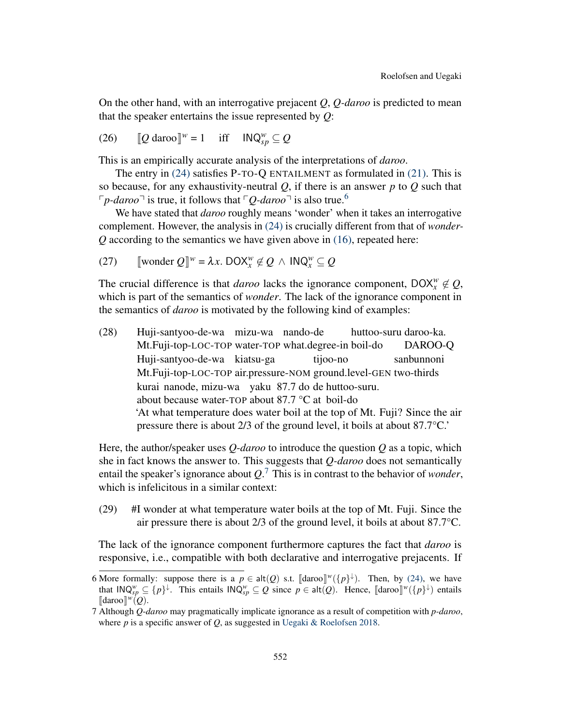On the other hand, with an interrogative prejacent *Q*, *Q-daroo* is predicted to mean that the speaker entertains the issue represented by *Q*:

(26) 
$$
[Q \text{ daroo}]^{w} = 1 \quad \text{iff} \quad \mathsf{INQ}_{sp}^{w} \subseteq Q
$$

This is an empirically accurate analysis of the interpretations of *daroo*.

The entry in [\(24\)](#page-10-1) satisfies P-TO-Q ENTAILMENT as formulated in [\(21\).](#page-9-2) This is so because, for any exhaustivity-neutral *Q*, if there is an answer *p* to *Q* such that  $\lceil p \cdot \text{d} a r \circ \text{o} \rceil$  is true, it follows that  $\lceil Q \cdot \text{d} a r \circ \text{o} \rceil$  is also true.<sup>[6](#page-11-0)</sup>

We have stated that *daroo* roughly means 'wonder' when it takes an interrogative complement. However, the analysis in [\(24\)](#page-10-1) is crucially different from that of *wonder-Q* according to the semantics we have given above in [\(16\),](#page-6-0) repeated here:

(27) [wonder 
$$
Q
$$
]<sup>w</sup> =  $\lambda x$ .  $DOX_x^w \notin Q \land INQ_x^w \subseteq Q$ 

The crucial difference is that *daroo* lacks the ignorance component,  $DOX_x^w \notin Q$ , which is part of the semantics of *wonder*. The lack of the ignorance component in the semantics of *daroo* is motivated by the following kind of examples:

(28) Huji-santyoo-de-wa mizu-wa nando-de Mt.Fuji-top-LOC-TOP water-TOP what.degree-in boil-do huttoo-suru daroo-ka. DAROO-Q Huji-santyoo-de-wa kiatsu-ga Mt.Fuji-top-LOC-TOP air.pressure-NOM ground.level-GEN two-thirds tijoo-no sanbunnoni kurai nanode, mizu-wa yaku 87.7 do de huttoo-suru. about because water-TOP about 87.7 °C at boil-do 'At what temperature does water boil at the top of Mt. Fuji? Since the air pressure there is about 2/3 of the ground level, it boils at about 87.7°C.'

Here, the author/speaker uses *Q*-*daroo* to introduce the question *Q* as a topic, which she in fact knows the answer to. This suggests that *Q-daroo* does not semantically entail the speaker's ignorance about *Q*. [7](#page-11-1) This is in contrast to the behavior of *wonder*, which is infelicitous in a similar context:

(29) #I wonder at what temperature water boils at the top of Mt. Fuji. Since the air pressure there is about 2/3 of the ground level, it boils at about 87.7°C.

The lack of the ignorance component furthermore captures the fact that *daroo* is responsive, i.e., compatible with both declarative and interrogative prejacents. If

<span id="page-11-0"></span><sup>6</sup> More formally: suppose there is a  $p \in \text{alt}(Q)$  s.t.  $[\text{daroo}]\psi({p}^{\downarrow})$ . Then, by [\(24\),](#page-10-1) we have that  $\text{IMO}\psi \subset \text{In}_{\mathcal{V}}$ . This entails  $\text{IMO}\psi \subset Q$  since  $p \in \text{alt}(Q)$ . Hence  $[\text{dero}]\psi({p}^{\downarrow})$  entails that  $\text{INQ}_{sp}^w \subseteq \{p\}^{\downarrow}$ . This entails  $\text{INQ}_{sp}^w \subseteq Q$  since  $p \in \text{alt}(Q)$ . Hence,  $\llbracket \text{daroo} \rrbracket^w(\{p\}^{\downarrow})$  entails  $\llbracket \text{daroo} \rrbracket^w(Q)$ .  $\llbracket \text{daroo} \rrbracket^w(Q).$ 

<span id="page-11-1"></span><sup>7</sup> Although *Q*-*daroo* may pragmatically implicate ignorance as a result of competition with *p-daroo*, where *p* is a specific answer of *Q*, as suggested in [Uegaki & Roelofsen](#page-20-2) [2018.](#page-20-2)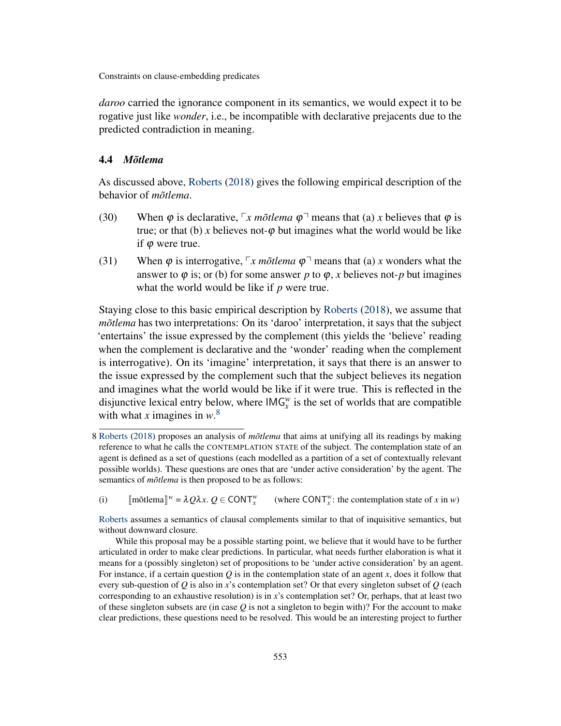*daroo* carried the ignorance component in its semantics, we would expect it to be rogative just like *wonder*, i.e., be incompatible with declarative prejacents due to the predicted contradiction in meaning.

### 4.4 *Mõtlema*

As discussed above, [Roberts](#page-19-4) [\(2018\)](#page-19-4) gives the following empirical description of the behavior of *mõtlema*.

- (30) When  $\varphi$  is declarative,  $\lceil x \text{ m} \tilde{\sigma} \rceil$  *x* means that (a) *x* believes that  $\varphi$  is true; or that (b) *x* believes not- $\varphi$  but imagines what the world would be like if  $\varphi$  were true.
- (31) When  $\varphi$  is interrogative,  $\lceil x \text{ m} \tilde{o} \cdot t \rceil$  means that (a) *x* wonders what the answer to  $\varphi$  is; or (b) for some answer *p* to  $\varphi$ , *x* believes not-*p* but imagines what the world would be like if *p* were true.

Staying close to this basic empirical description by [Roberts](#page-19-4) [\(2018\)](#page-19-4), we assume that *mõtlema* has two interpretations: On its 'daroo' interpretation, it says that the subject 'entertains' the issue expressed by the complement (this yields the 'believe' reading when the complement is declarative and the 'wonder' reading when the complement is interrogative). On its 'imagine' interpretation, it says that there is an answer to the issue expressed by the complement such that the subject believes its negation and imagines what the world would be like if it were true. This is reflected in the disjunctive lexical entry below, where  $\text{IMG}_{x}^{w}$  is the set of worlds that are compatible with what *x* imagines in *w*. [8](#page-12-0)

(i)  $\text{[mõtlema]}^{w} = \lambda Q \lambda x. Q \in \text{CONT}_{x}^{w}$ (where CONT<sup>*w*</sup>: the contemplation state of *x* in *w*)

<span id="page-12-0"></span><sup>8</sup> [Roberts](#page-19-4) [\(2018\)](#page-19-4) proposes an analysis of *mõtlema* that aims at unifying all its readings by making reference to what he calls the CONTEMPLATION STATE of the subject. The contemplation state of an agent is defined as a set of questions (each modelled as a partition of a set of contextually relevant possible worlds). These questions are ones that are 'under active consideration' by the agent. The semantics of *mõtlema* is then proposed to be as follows:

[Roberts](#page-19-4) assumes a semantics of clausal complements similar to that of inquisitive semantics, but without downward closure.

While this proposal may be a possible starting point, we believe that it would have to be further articulated in order to make clear predictions. In particular, what needs further elaboration is what it means for a (possibly singleton) set of propositions to be 'under active consideration' by an agent. For instance, if a certain question *Q* is in the contemplation state of an agent *x*, does it follow that every sub-question of *Q* is also in *x*'s contemplation set? Or that every singleton subset of *Q* (each corresponding to an exhaustive resolution) is in *x*'s contemplation set? Or, perhaps, that at least two of these singleton subsets are (in case *Q* is not a singleton to begin with)? For the account to make clear predictions, these questions need to be resolved. This would be an interesting project to further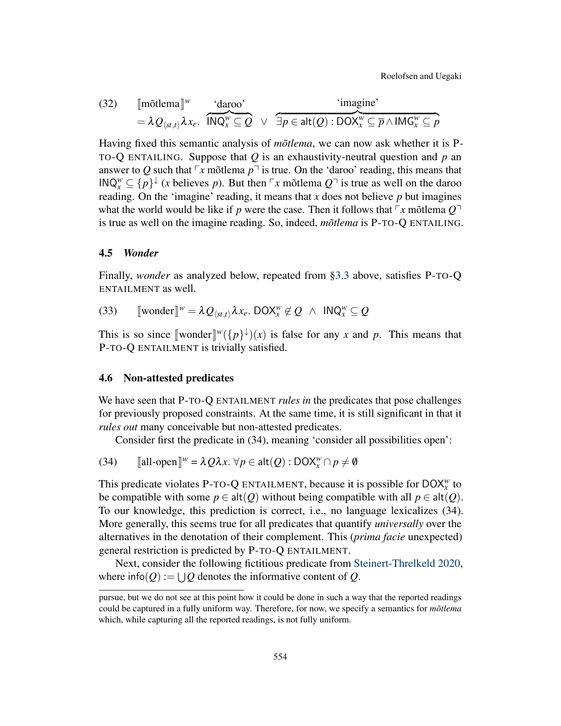Roelofsen and Uegaki

(32) 
$$
\begin{array}{ll}\n\text{Im\~ot{}tlema} \mathbb{I}^w & \text{`daroo'}\\
= \lambda Q_{\langle st, t \rangle} \lambda x_e. & \text{INQ}_x^w \subseteq Q \quad \lor \quad \exists p \in \mathsf{alt}(Q) : \text{DOX}_x^w \subseteq \overline{p} \land \text{IMG}_x^w \subseteq p\n\end{array}
$$

Having fixed this semantic analysis of *mõtlema*, we can now ask whether it is P-TO-Q ENTAILING. Suppose that *Q* is an exhaustivity-neutral question and *p* an answer to Q such that  $\lceil x \bmod{p} \rceil$  is true. On the 'daroo' reading, this means that  $\mathsf{INQ}_{x}^{w} \subseteq \{p\}^{\downarrow}$  (*x* believes *p*). But then  $\ulcorner x$  mõtlema  $Q^{\urcorner}$  is true as well on the daroo reading. On the 'imagine' reading, it means that *x* does not believe *p* but imagines what the world would be like if *p* were the case. Then it follows that  $\lceil x \bmod{Q} \rceil$ is true as well on the imagine reading. So, indeed, *mõtlema* is P-TO-Q ENTAILING.

### <span id="page-13-0"></span>4.5 *Wonder*

Finally, *wonder* as analyzed below, repeated from [§3.3](#page-6-1) above, satisfies P-TO-Q ENTAILMENT as well.

(33)  $\llbracket \text{wonder} \rrbracket^w = \lambda Q_{\langle st, t \rangle} \lambda x_e$ . DOX $_x^w \notin Q \land \text{INQ}_x^w \subseteq Q$ 

This is so since  $\llbracket \text{wonder} \rrbracket^w (\{p\}^{\downarrow})(x)$  is false for any *x* and *p*. This means that **p**. To O ENTAILMENT is trivially satisfied P-TO-Q ENTAILMENT is trivially satisfied.

### <span id="page-13-1"></span>4.6 Non-attested predicates

We have seen that P-TO-Q ENTAILMENT *rules in* the predicates that pose challenges for previously proposed constraints. At the same time, it is still significant in that it *rules out* many conceivable but non-attested predicates.

Consider first the predicate in (34), meaning 'consider all possibilities open':

(34)  $[\![\text{all-open}]\!]^w = \lambda Q \lambda x. \,\forall p \in \text{alt}(Q) : \text{DOX}_x^w \cap p \neq \emptyset$ 

This predicate violates P-TO-Q ENTAILMENT, because it is possible for DOX*<sup>w</sup> x* to be compatible with some  $p \in \text{alt}(Q)$  without being compatible with all  $p \in \text{alt}(Q)$ . To our knowledge, this prediction is correct, i.e., no language lexicalizes (34). More generally, this seems true for all predicates that quantify *universally* over the alternatives in the denotation of their complement. This (*prima facie* unexpected) general restriction is predicted by P-TO-Q ENTAILMENT.

Next, consider the following fictitious predicate from [Steinert-Threlkeld](#page-19-1) [2020,](#page-19-1) where  $\text{info}(Q) := \bigcup Q$  denotes the informative content of *Q*.

pursue, but we do not see at this point how it could be done in such a way that the reported readings could be captured in a fully uniform way. Therefore, for now, we specify a semantics for *mõtlema* which, while capturing all the reported readings, is not fully uniform.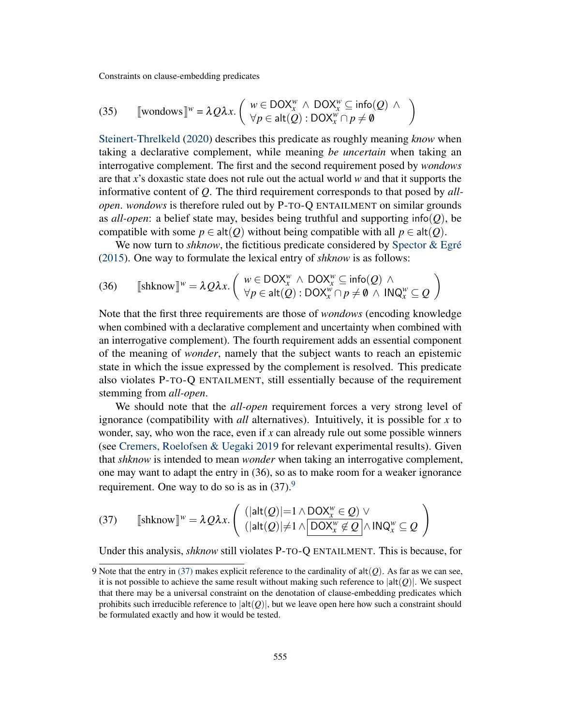(35) 
$$
\llbracket \text{wondows} \rrbracket^{w} = \lambda Q \lambda x. \begin{pmatrix} w \in \text{DOX}_{x}^{w} \land \text{DOX}_{x}^{w} \subseteq \text{info}(Q) \land \\ \forall p \in \text{alt}(Q) : \text{DOX}_{x}^{w} \cap p \neq \emptyset \end{pmatrix}
$$

[Steinert-Threlkeld](#page-19-1) [\(2020\)](#page-19-1) describes this predicate as roughly meaning *know* when taking a declarative complement, while meaning *be uncertain* when taking an interrogative complement. The first and the second requirement posed by *wondows* are that *x*'s doxastic state does not rule out the actual world *w* and that it supports the informative content of *Q*. The third requirement corresponds to that posed by *allopen*. *wondows* is therefore ruled out by P-TO-Q ENTAILMENT on similar grounds as *all-open*: a belief state may, besides being truthful and supporting info(*Q*), be compatible with some  $p \in \text{alt}(Q)$  without being compatible with all  $p \in \text{alt}(Q)$ .

We now turn to *shknow*, the fictitious predicate considered by [Spector & Egré](#page-19-0) [\(2015\)](#page-19-0). One way to formulate the lexical entry of *shknow* is as follows:

(36) 
$$
\llbracket \text{shknow} \rrbracket^{w} = \lambda Q \lambda x. \begin{pmatrix} w \in \text{DOX}_{x}^{w} \land \text{DOX}_{x}^{w} \subseteq \text{info}(Q) \land \\ \forall p \in \text{alt}(Q) : \text{DOX}_{x}^{w} \cap p \neq \emptyset \land \text{INQ}_{x}^{w} \subseteq Q \end{pmatrix}
$$

Note that the first three requirements are those of *wondows* (encoding knowledge when combined with a declarative complement and uncertainty when combined with an interrogative complement). The fourth requirement adds an essential component of the meaning of *wonder*, namely that the subject wants to reach an epistemic state in which the issue expressed by the complement is resolved. This predicate also violates P-TO-Q ENTAILMENT, still essentially because of the requirement stemming from *all-open*.

We should note that the *all-open* requirement forces a very strong level of ignorance (compatibility with *all* alternatives). Intuitively, it is possible for *x* to wonder, say, who won the race, even if *x* can already rule out some possible winners (see [Cremers, Roelofsen & Uegaki](#page-19-12) [2019](#page-19-12) for relevant experimental results). Given that *shknow* is intended to mean *wonder* when taking an interrogative complement, one may want to adapt the entry in (36), so as to make room for a weaker ignorance requirement. One way to do so is as in  $(37)$ .<sup>[9](#page-14-0)</sup>

<span id="page-14-1"></span>(37) 
$$
\llbracket \text{shknow} \rrbracket^{w} = \lambda Q \lambda x. \begin{pmatrix} (|\text{alt}(Q)|=1 \wedge \text{DOX}_{x}^{w} \in Q) \vee \\ (|\text{alt}(Q)| \neq 1 \wedge \boxed{\text{DOX}_{x}^{w} \not\in Q} \wedge \text{INQ}_{x}^{w} \subseteq Q \end{pmatrix}
$$

Under this analysis, *shknow* still violates P-TO-Q ENTAILMENT. This is because, for

<span id="page-14-0"></span><sup>9</sup> Note that the entry in [\(37\)](#page-14-1) makes explicit reference to the cardinality of  $alt(Q)$ . As far as we can see, it is not possible to achieve the same result without making such reference to  $|alt(Q)|$ . We suspect that there may be a universal constraint on the denotation of clause-embedding predicates which prohibits such irreducible reference to  $|alt(Q)|$ , but we leave open here how such a constraint should be formulated exactly and how it would be tested.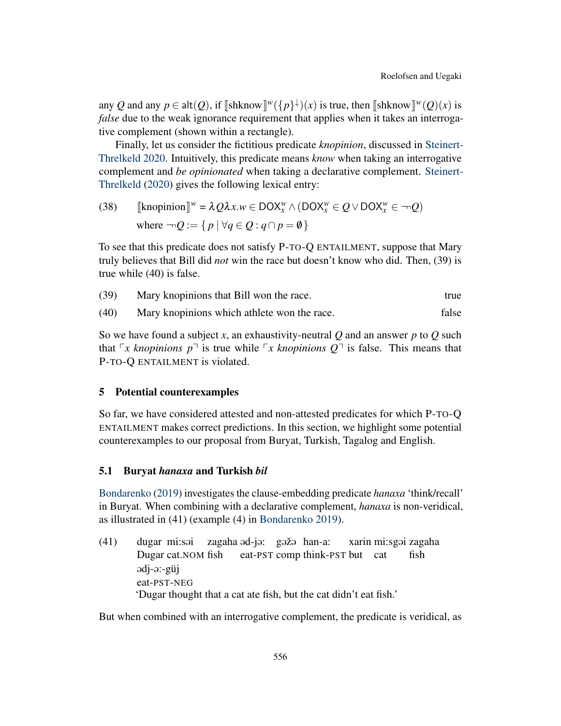any *Q* and any  $p \in \text{alt}(Q)$ , if  $\llbracket \text{shknow} \rrbracket^w(\{p\}^{\downarrow})(x)$  is true, then  $\llbracket \text{shknow} \rrbracket^w(Q)(x)$  is true and the weak improvance requirement that applies when it takes an intercome *false* due to the weak ignorance requirement that applies when it takes an interrogative complement (shown within a rectangle).

Finally, let us consider the fictitious predicate *knopinion*, discussed in [Steinert-](#page-19-1)[Threlkeld](#page-19-1) [2020.](#page-19-1) Intuitively, this predicate means *know* when taking an interrogative complement and *be opinionated* when taking a declarative complement. [Steinert-](#page-19-1)[Threlkeld](#page-19-1) [\(2020\)](#page-19-1) gives the following lexical entry:

(38) 
$$
\llbracket \text{knopinion} \rrbracket^w = \lambda Q \lambda x. w \in DOX_x^w \land (DOX_x^w \in Q \lor DOX_x^w \in \neg Q)
$$
  
where 
$$
\neg Q := \{ p \mid \forall q \in Q : q \cap p = \emptyset \}
$$

To see that this predicate does not satisfy P-TO-Q ENTAILMENT, suppose that Mary truly believes that Bill did *not* win the race but doesn't know who did. Then, (39) is true while (40) is false.

(39) Mary knopinions that Bill won the race. true

(40) Mary knopinions which athlete won the race. false

So we have found a subject *x*, an exhaustivity-neutral *Q* and an answer *p* to *Q* such that  $\lceil x \rceil$  *knopinions*  $p \rceil$  is true while  $\lceil x \rceil$  *knopinions*  $Q \rceil$  is false. This means that P-TO-Q ENTAILMENT is violated.

### <span id="page-15-0"></span>5 Potential counterexamples

So far, we have considered attested and non-attested predicates for which P-TO-Q ENTAILMENT makes correct predictions. In this section, we highlight some potential counterexamples to our proposal from Buryat, Turkish, Tagalog and English.

### 5.1 Buryat *hanaxa* and Turkish *bil*

[Bondarenko](#page-19-13) [\(2019\)](#page-19-13) investigates the clause-embedding predicate *hanaxa* 'think/recall' in Buryat. When combining with a declarative complement, *hanaxa* is non-veridical, as illustrated in (41) (example (4) in [Bondarenko](#page-19-13) [2019\)](#page-19-13).

(41) dugar mi:sai Dugar cat.NOM fish zagaha əd-jə: gəžə han-a: eat-PST comp think-PST but cat xarin mi:sgəi zagaha fish @dj-@:-güj eat-PST-NEG 'Dugar thought that a cat ate fish, but the cat didn't eat fish.'

But when combined with an interrogative complement, the predicate is veridical, as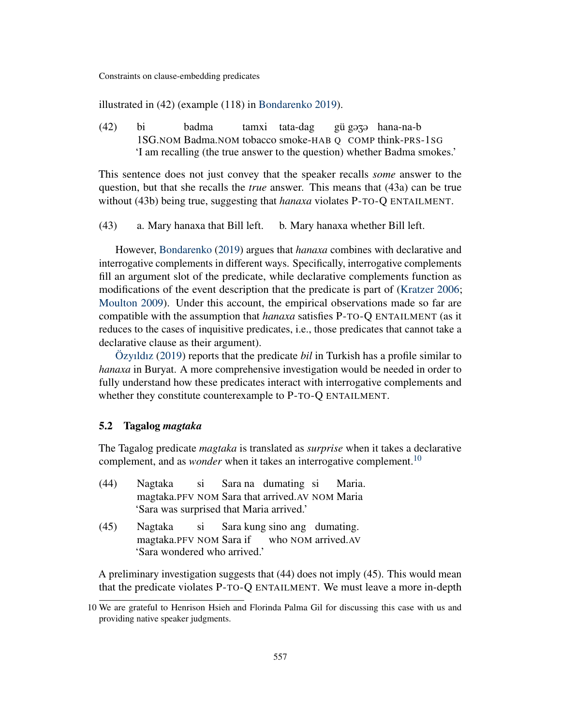illustrated in (42) (example (118) in [Bondarenko](#page-19-13) [2019\)](#page-19-13).

(42) bi 1SG.NOM Badma.NOM tobacco smoke-HAB Q COMP think-PRS-1SG badma tamxi tata-dag gü gə<del>z</del>ə hana-na-b 'I am recalling (the true answer to the question) whether Badma smokes.'

This sentence does not just convey that the speaker recalls *some* answer to the question, but that she recalls the *true* answer. This means that (43a) can be true without (43b) being true, suggesting that *hanaxa* violates P-TO-Q ENTAILMENT.

(43) a. Mary hanaxa that Bill left. b. Mary hanaxa whether Bill left.

However, [Bondarenko](#page-19-13) [\(2019\)](#page-19-13) argues that *hanaxa* combines with declarative and interrogative complements in different ways. Specifically, interrogative complements fill an argument slot of the predicate, while declarative complements function as modifications of the event description that the predicate is part of [\(Kratzer](#page-19-14) [2006;](#page-19-14) [Moulton](#page-19-15) [2009\)](#page-19-15). Under this account, the empirical observations made so far are compatible with the assumption that *hanaxa* satisfies P-TO-Q ENTAILMENT (as it reduces to the cases of inquisitive predicates, i.e., those predicates that cannot take a declarative clause as their argument).

[Özyıldız](#page-19-16) [\(2019\)](#page-19-16) reports that the predicate *bil* in Turkish has a profile similar to *hanaxa* in Buryat. A more comprehensive investigation would be needed in order to fully understand how these predicates interact with interrogative complements and whether they constitute counterexample to P-TO-Q ENTAILMENT.

### 5.2 Tagalog *magtaka*

The Tagalog predicate *magtaka* is translated as *surprise* when it takes a declarative complement, and as *wonder* when it takes an interrogative complement.<sup>[10](#page-16-0)</sup>

| (44) | Nagtaka si Sara na dumating si Maria.            |  |  |  |
|------|--------------------------------------------------|--|--|--|
|      | magtaka. PFV NOM Sara that arrived. AV NOM Maria |  |  |  |
|      | 'Sara was surprised that Maria arrived.'         |  |  |  |
|      | $(15)$ at $1$ $(15)$                             |  |  |  |

(45) Nagtaka magtaka.PFV NOM Sara if si Sara kung sino ang dumating. who NOM arrived.AV 'Sara wondered who arrived.'

A preliminary investigation suggests that (44) does not imply (45). This would mean that the predicate violates P-TO-Q ENTAILMENT. We must leave a more in-depth

<span id="page-16-0"></span><sup>10</sup> We are grateful to Henrison Hsieh and Florinda Palma Gil for discussing this case with us and providing native speaker judgments.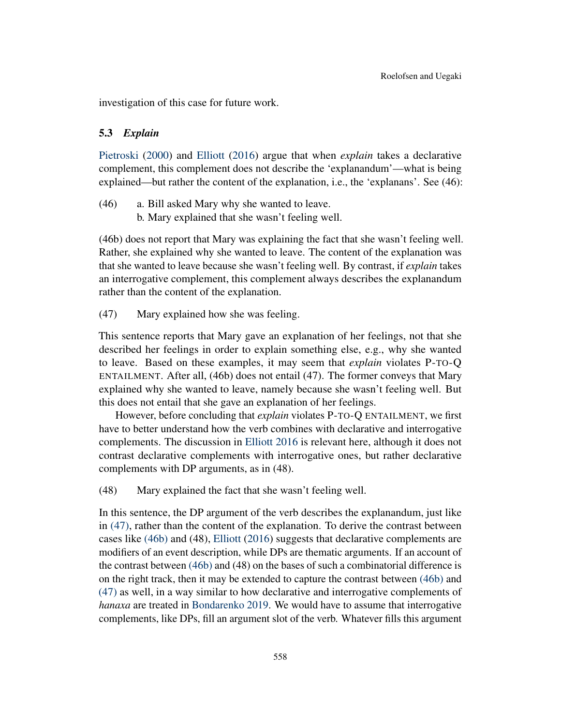investigation of this case for future work.

### 5.3 *Explain*

[Pietroski](#page-19-17) [\(2000\)](#page-19-17) and [Elliott](#page-19-18) [\(2016\)](#page-19-18) argue that when *explain* takes a declarative complement, this complement does not describe the 'explanandum'—what is being explained—but rather the content of the explanation, i.e., the 'explanans'. See (46):

<span id="page-17-1"></span>(46) a. Bill asked Mary why she wanted to leave. b. Mary explained that she wasn't feeling well.

(46b) does not report that Mary was explaining the fact that she wasn't feeling well. Rather, she explained why she wanted to leave. The content of the explanation was that she wanted to leave because she wasn't feeling well. By contrast, if *explain* takes an interrogative complement, this complement always describes the explanandum rather than the content of the explanation.

<span id="page-17-0"></span>(47) Mary explained how she was feeling.

This sentence reports that Mary gave an explanation of her feelings, not that she described her feelings in order to explain something else, e.g., why she wanted to leave. Based on these examples, it may seem that *explain* violates P-TO-Q ENTAILMENT. After all, (46b) does not entail (47). The former conveys that Mary explained why she wanted to leave, namely because she wasn't feeling well. But this does not entail that she gave an explanation of her feelings.

However, before concluding that *explain* violates P-TO-Q ENTAILMENT, we first have to better understand how the verb combines with declarative and interrogative complements. The discussion in [Elliott](#page-19-18) [2016](#page-19-18) is relevant here, although it does not contrast declarative complements with interrogative ones, but rather declarative complements with DP arguments, as in (48).

(48) Mary explained the fact that she wasn't feeling well.

In this sentence, the DP argument of the verb describes the explanandum, just like in [\(47\),](#page-17-0) rather than the content of the explanation. To derive the contrast between cases like [\(46b\)](#page-17-1) and (48), [Elliott](#page-19-18) [\(2016\)](#page-19-18) suggests that declarative complements are modifiers of an event description, while DPs are thematic arguments. If an account of the contrast between [\(46b\)](#page-17-1) and (48) on the bases of such a combinatorial difference is on the right track, then it may be extended to capture the contrast between [\(46b\)](#page-17-1) and [\(47\)](#page-17-0) as well, in a way similar to how declarative and interrogative complements of *hanaxa* are treated in [Bondarenko](#page-19-13) [2019.](#page-19-13) We would have to assume that interrogative complements, like DPs, fill an argument slot of the verb. Whatever fills this argument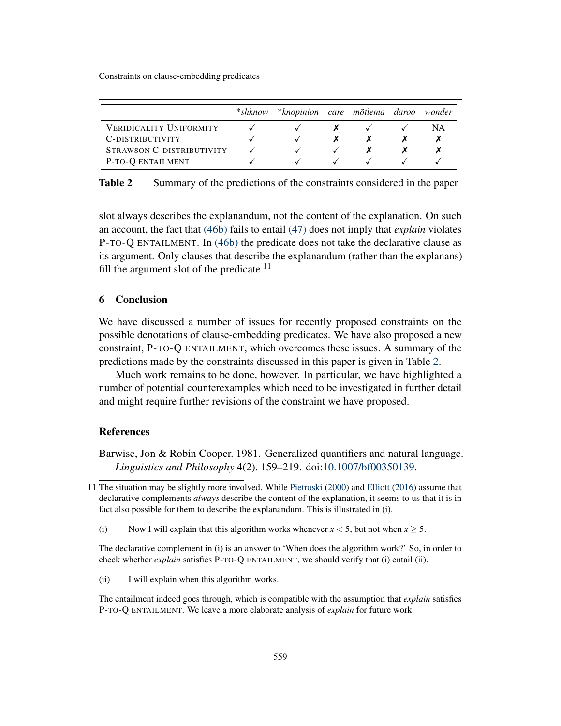<span id="page-18-3"></span>

|                                | *shknow | *knopinion care mõtlema daroo |   |  | wonder |
|--------------------------------|---------|-------------------------------|---|--|--------|
| <b>VERIDICALITY UNIFORMITY</b> |         |                               |   |  | ΝA     |
| C-DISTRIBUTIVITY               |         |                               | X |  |        |
| STRAWSON C-DISTRIBUTIVITY      |         |                               |   |  |        |
| P-TO-Q ENTAILMENT              |         |                               |   |  |        |

| <b>Table 2</b><br>Summary of the predictions of the constraints considered in the paper |  |
|-----------------------------------------------------------------------------------------|--|
|-----------------------------------------------------------------------------------------|--|

slot always describes the explanandum, not the content of the explanation. On such an account, the fact that [\(46b\)](#page-17-1) fails to entail [\(47\)](#page-17-0) does not imply that *explain* violates P-TO-Q ENTAILMENT. In [\(46b\)](#page-17-1) the predicate does not take the declarative clause as its argument. Only clauses that describe the explanandum (rather than the explanans) fill the argument slot of the predicate.<sup>[11](#page-18-2)</sup>

### <span id="page-18-1"></span>6 Conclusion

We have discussed a number of issues for recently proposed constraints on the possible denotations of clause-embedding predicates. We have also proposed a new constraint, P-TO-Q ENTAILMENT, which overcomes these issues. A summary of the predictions made by the constraints discussed in this paper is given in Table [2.](#page-18-3)

Much work remains to be done, however. In particular, we have highlighted a number of potential counterexamples which need to be investigated in further detail and might require further revisions of the constraint we have proposed.

### **References**

<span id="page-18-0"></span>Barwise, Jon & Robin Cooper. 1981. Generalized quantifiers and natural language. *Linguistics and Philosophy* 4(2). 159–219. doi[:10.1007/bf00350139.](https://doi.org/10.1007/bf00350139)

(i) Now I will explain that this algorithm works whenever  $x < 5$ , but not when  $x \ge 5$ .

The declarative complement in (i) is an answer to 'When does the algorithm work?' So, in order to check whether *explain* satisfies P-TO-Q ENTAILMENT, we should verify that (i) entail (ii).

(ii) I will explain when this algorithm works.

The entailment indeed goes through, which is compatible with the assumption that *explain* satisfies P-TO-Q ENTAILMENT. We leave a more elaborate analysis of *explain* for future work.

<span id="page-18-2"></span><sup>11</sup> The situation may be slightly more involved. While [Pietroski](#page-19-17) [\(2000\)](#page-19-17) and [Elliott](#page-19-18) [\(2016\)](#page-19-18) assume that declarative complements *always* describe the content of the explanation, it seems to us that it is in fact also possible for them to describe the explanandum. This is illustrated in (i).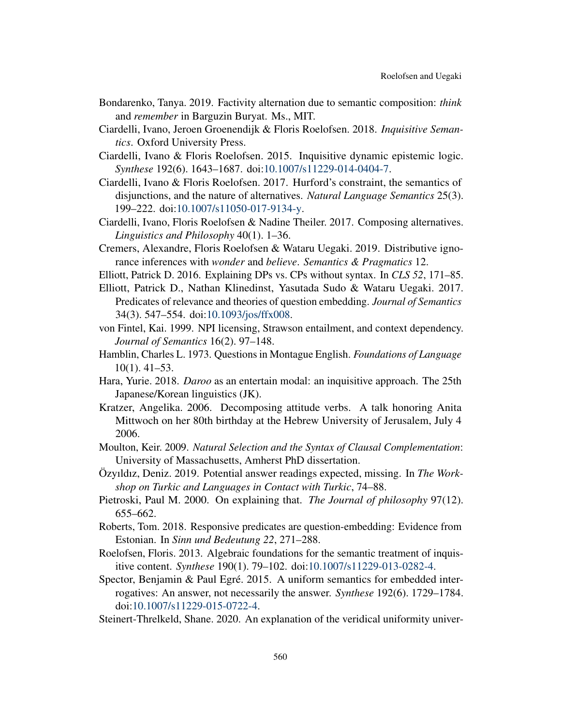- <span id="page-19-13"></span>Bondarenko, Tanya. 2019. Factivity alternation due to semantic composition: *think* and *remember* in Barguzin Buryat. Ms., MIT.
- <span id="page-19-7"></span>Ciardelli, Ivano, Jeroen Groenendijk & Floris Roelofsen. 2018. *Inquisitive Semantics*. Oxford University Press.
- <span id="page-19-6"></span>Ciardelli, Ivano & Floris Roelofsen. 2015. Inquisitive dynamic epistemic logic. *Synthese* 192(6). 1643–1687. doi[:10.1007/s11229-014-0404-7.](https://doi.org/10.1007/s11229-014-0404-7)
- <span id="page-19-11"></span>Ciardelli, Ivano & Floris Roelofsen. 2017. Hurford's constraint, the semantics of disjunctions, and the nature of alternatives. *Natural Language Semantics* 25(3). 199–222. doi[:10.1007/s11050-017-9134-y.](https://doi.org/10.1007/s11050-017-9134-y)
- <span id="page-19-10"></span>Ciardelli, Ivano, Floris Roelofsen & Nadine Theiler. 2017. Composing alternatives. *Linguistics and Philosophy* 40(1). 1–36.
- <span id="page-19-12"></span>Cremers, Alexandre, Floris Roelofsen & Wataru Uegaki. 2019. Distributive ignorance inferences with *wonder* and *believe*. *Semantics & Pragmatics* 12.
- <span id="page-19-18"></span>Elliott, Patrick D. 2016. Explaining DPs vs. CPs without syntax. In *CLS 52*, 171–85.

<span id="page-19-2"></span>Elliott, Patrick D., Nathan Klinedinst, Yasutada Sudo & Wataru Uegaki. 2017. Predicates of relevance and theories of question embedding. *Journal of Semantics* 34(3). 547–554. doi[:10.1093/jos/ffx008.](https://doi.org/10.1093/jos/ffx008)

- <span id="page-19-3"></span>von Fintel, Kai. 1999. NPI licensing, Strawson entailment, and context dependency. *Journal of Semantics* 16(2). 97–148.
- <span id="page-19-8"></span>Hamblin, Charles L. 1973. Questions in Montague English. *Foundations of Language* 10(1). 41–53.
- <span id="page-19-5"></span>Hara, Yurie. 2018. *Daroo* as an entertain modal: an inquisitive approach. The 25th Japanese/Korean linguistics (JK).
- <span id="page-19-14"></span>Kratzer, Angelika. 2006. Decomposing attitude verbs. A talk honoring Anita Mittwoch on her 80th birthday at the Hebrew University of Jerusalem, July 4 2006.
- <span id="page-19-15"></span>Moulton, Keir. 2009. *Natural Selection and the Syntax of Clausal Complementation*: University of Massachusetts, Amherst PhD dissertation.
- <span id="page-19-16"></span>Özyıldız, Deniz. 2019. Potential answer readings expected, missing. In *The Workshop on Turkic and Languages in Contact with Turkic*, 74–88.
- <span id="page-19-17"></span>Pietroski, Paul M. 2000. On explaining that. *The Journal of philosophy* 97(12). 655–662.
- <span id="page-19-4"></span>Roberts, Tom. 2018. Responsive predicates are question-embedding: Evidence from Estonian. In *Sinn und Bedeutung 22*, 271–288.
- <span id="page-19-9"></span>Roelofsen, Floris. 2013. Algebraic foundations for the semantic treatment of inquisitive content. *Synthese* 190(1). 79–102. doi[:10.1007/s11229-013-0282-4.](https://doi.org/10.1007/s11229-013-0282-4)
- <span id="page-19-0"></span>Spector, Benjamin & Paul Egré. 2015. A uniform semantics for embedded interrogatives: An answer, not necessarily the answer. *Synthese* 192(6). 1729–1784. doi[:10.1007/s11229-015-0722-4.](https://doi.org/10.1007/s11229-015-0722-4)
- <span id="page-19-1"></span>Steinert-Threlkeld, Shane. 2020. An explanation of the veridical uniformity univer-